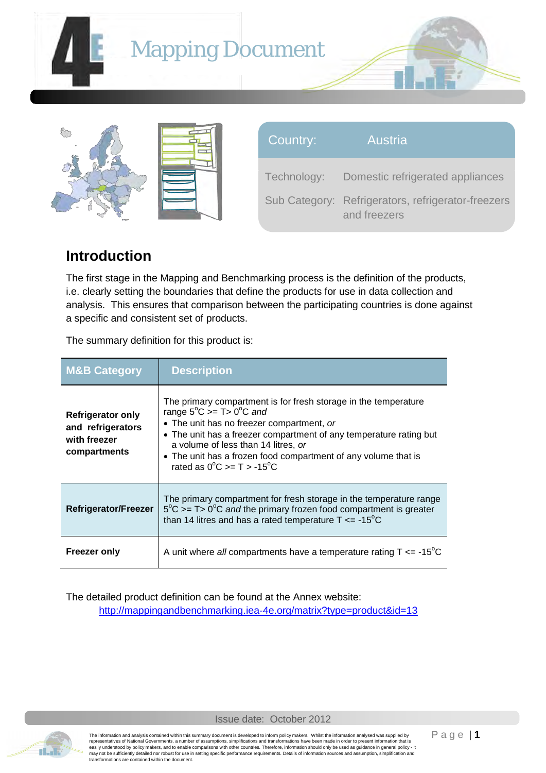





| Country:    | Austria                                                            |
|-------------|--------------------------------------------------------------------|
| Technology: | Domestic refrigerated appliances                                   |
|             | Sub Category: Refrigerators, refrigerator-freezers<br>and freezers |

## **Introduction**

The first stage in the Mapping and Benchmarking process is the definition of the products, i.e. clearly setting the boundaries that define the products for use in data collection and analysis. This ensures that comparison between the participating countries is done against a specific and consistent set of products.

The summary definition for this product is:

| <b>M&amp;B Category</b>                                                       | <b>Description</b>                                                                                                                                                                                                                                                                                                                                                                                 |
|-------------------------------------------------------------------------------|----------------------------------------------------------------------------------------------------------------------------------------------------------------------------------------------------------------------------------------------------------------------------------------------------------------------------------------------------------------------------------------------------|
| <b>Refrigerator only</b><br>and refrigerators<br>with freezer<br>compartments | The primary compartment is for fresh storage in the temperature<br>range $5^{\circ}$ C >= T > 0 <sup>°</sup> C and<br>• The unit has no freezer compartment, or<br>• The unit has a freezer compartment of any temperature rating but<br>a volume of less than 14 litres, or<br>• The unit has a frozen food compartment of any volume that is<br>rated as $0^{\circ}$ C >= T > -15 <sup>°</sup> C |
| Refrigerator/Freezer                                                          | The primary compartment for fresh storage in the temperature range<br>$5^{\circ}$ C >= T> 0 <sup>o</sup> C and the primary frozen food compartment is greater<br>than 14 litres and has a rated temperature $T \le -15^{\circ}C$                                                                                                                                                                   |
| Freezer only                                                                  | A unit where all compartments have a temperature rating $T \le -15^{\circ}C$                                                                                                                                                                                                                                                                                                                       |

The detailed product definition can be found at the Annex website:

<http://mappingandbenchmarking.iea-4e.org/matrix?type=product&id=13>



Issue date: October 2012

The information and analysis contained within this summary document is developed to inform policy makers. Whilst the information analysed was supplied by<br>representatives of National Governments, a number of assumptions, si may not be sufficiently detailed nor robust for use in setting specific performance requirements. Details of information sources and assumption, simplification and transformations are contained within the document.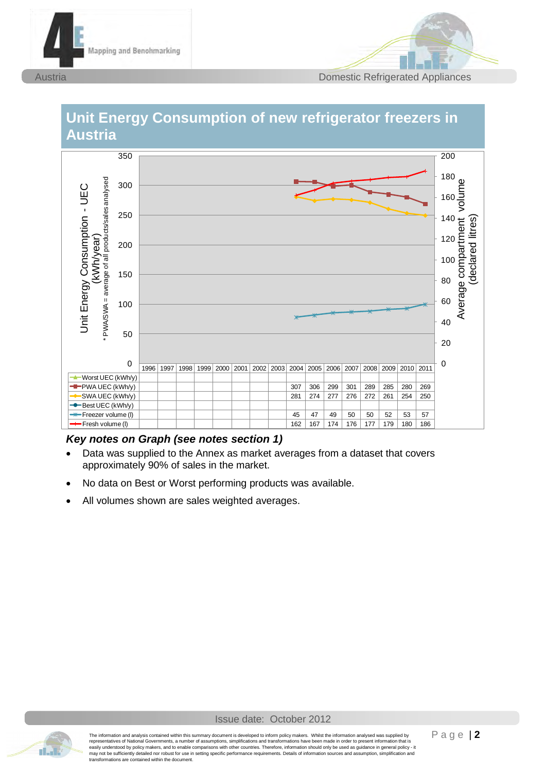



## **Unit Energy Consumption of new refrigerator freezers in Austria**



- Data was supplied to the Annex as market averages from a dataset that covers approximately 90% of sales in the market.
- No data on Best or Worst performing products was available.
- All volumes shown are sales weighted averages.

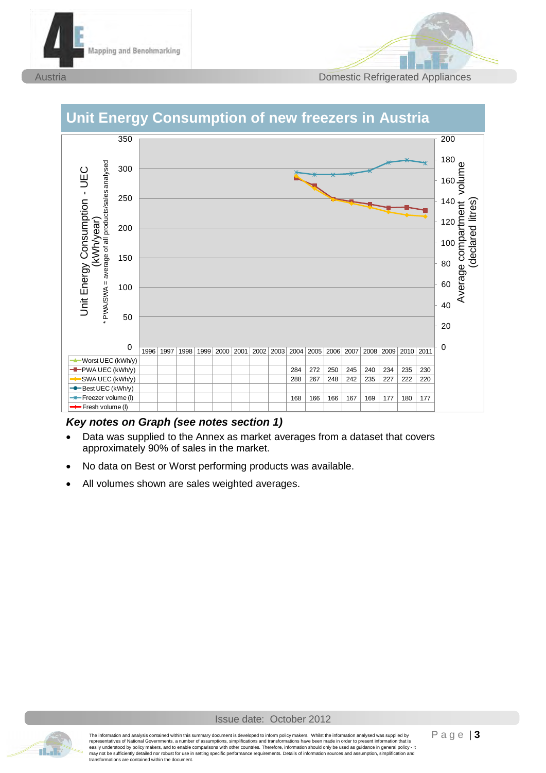



#### 350 200 180 <sub>დ</sub> Average Consumption - UEC<br>
VANSWA = average of all products sales analysed<br>
WASWA = average of all products sales analysed<br>
MASWA = average of all products sales analysed<br>
30<br>
Average compartment volume<br>
40<br>
Average compar \* PWA/SWA = average of all products/sales analysed300  $\begin{array}{c}\n160 \\
\overline{5} \\
\overline{9}\n\end{array}$ 250 140 14 (12 )<br>12 (10 )<br>8 0 120 12(<br>10(<br>80<br>60 200 100 10(<br>80<br>60<br>40 150 50<br>00<br>50 80<br>60<br>40<br>20 100 20 0 0 1996 1997 1998 1999 2000 2001 2002 2003 2004 2005 2006 2007 2008 2009 2010 2011 Worst UEC (kWh/y) **-D** PWA UEC (kWh/y) **284 272 250 245 240 234 235 230** SWA UEC (kWh/y) 288 267 248 242 235 227 222 220 **Best UEC (kWh/y)** \* Freezer volume (l) | | | | | | | | | | | | | | | | 168 | 166 | 167 | 169 | 177 | 180 | 177 **Fresh volume (I)**

## **Unit Energy Consumption of new freezers in Austria**

- Data was supplied to the Annex as market averages from a dataset that covers approximately 90% of sales in the market.
- No data on Best or Worst performing products was available.
- All volumes shown are sales weighted averages.

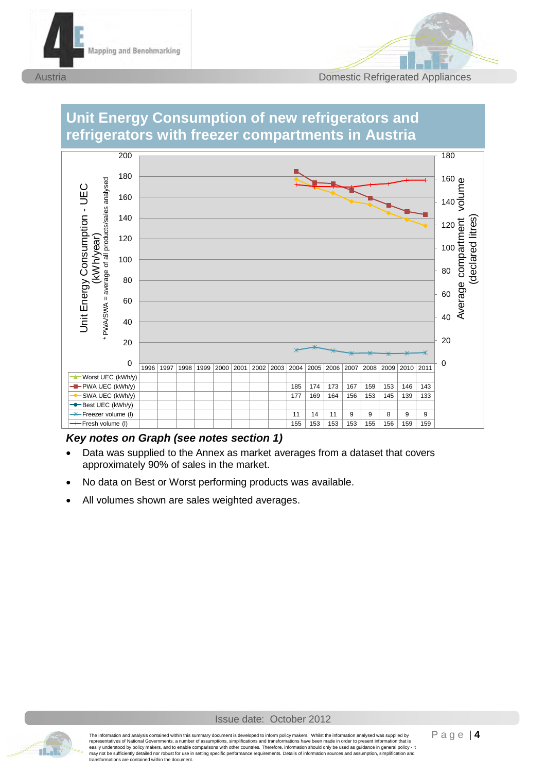



#### **Unit Energy Consumption of new refrigerators and refrigerators with freezer compartments in Austria** 1996 1997 1998 1999 2000 2001 2002 2003 2004 2005 2006 2007 2008 2009 2010 2011 **Worst UEC (kWh/y) PWA UEC (kWh/y)** 185 174 173 167 159 153 146 143 SWA UEC (kWh/y) 177 169 164 156 153 145 139 133 Best UEC (kWh/y) Freezer volume (l) 11 14 11 9 9 8 9 9 Fresh volume (l) 155 153 153 153 155 156 159 159 0 20 40 60 80 100 120  $140\frac{1}{5}$ 160 180 0 20 40 60 80 100 120 140 160 180 200 Average consumption - UEC<br>
Average and practices as a model when a series are all the series of a little series of a little series of a little series of a little series of a little series of a little series of a little ser \* PWA/SWA = average of all products/sales analysed

- Data was supplied to the Annex as market averages from a dataset that covers approximately 90% of sales in the market.
- No data on Best or Worst performing products was available.
- All volumes shown are sales weighted averages.

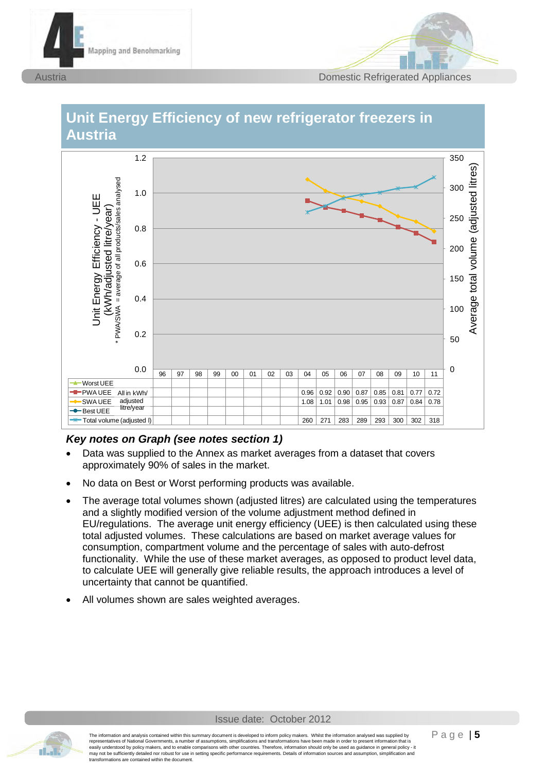



# **Unit Energy Efficiency of new refrigerator freezers in Austria** 1.2



- Data was supplied to the Annex as market averages from a dataset that covers approximately 90% of sales in the market.
- No data on Best or Worst performing products was available.
- The average total volumes shown (adjusted litres) are calculated using the temperatures and a slightly modified version of the volume adjustment method defined in EU/regulations. The average unit energy efficiency (UEE) is then calculated using these total adjusted volumes. These calculations are based on market average values for consumption, compartment volume and the percentage of sales with auto-defrost functionality. While the use of these market averages, as opposed to product level data, to calculate UEE will generally give reliable results, the approach introduces a level of uncertainty that cannot be quantified.
- All volumes shown are sales weighted averages.

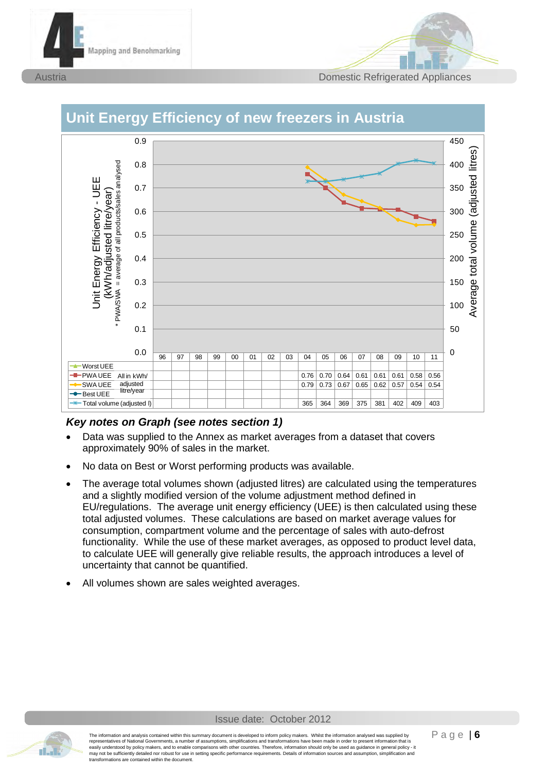





## **Unit Energy Efficiency of new freezers in Austria**

- Data was supplied to the Annex as market averages from a dataset that covers approximately 90% of sales in the market.
- No data on Best or Worst performing products was available.
- The average total volumes shown (adjusted litres) are calculated using the temperatures and a slightly modified version of the volume adjustment method defined in EU/regulations. The average unit energy efficiency (UEE) is then calculated using these total adjusted volumes. These calculations are based on market average values for consumption, compartment volume and the percentage of sales with auto-defrost functionality. While the use of these market averages, as opposed to product level data, to calculate UEE will generally give reliable results, the approach introduces a level of uncertainty that cannot be quantified.
- All volumes shown are sales weighted averages.

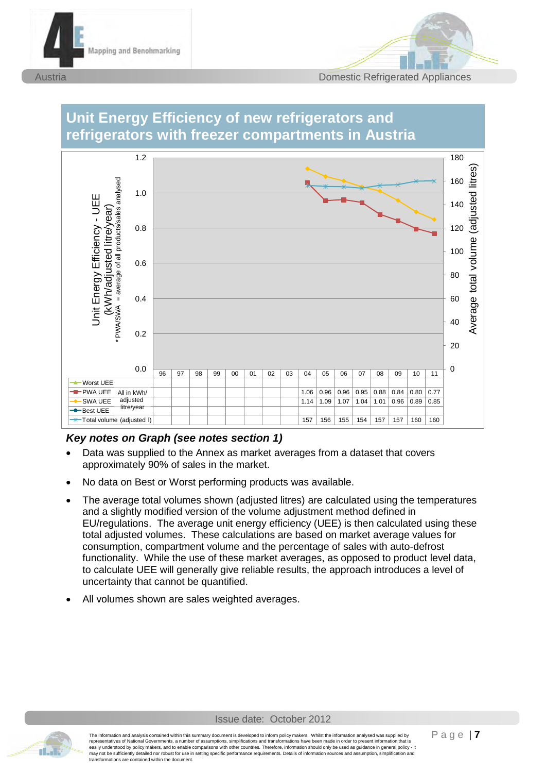







- Data was supplied to the Annex as market averages from a dataset that covers approximately 90% of sales in the market.
- No data on Best or Worst performing products was available.
- The average total volumes shown (adjusted litres) are calculated using the temperatures and a slightly modified version of the volume adjustment method defined in EU/regulations. The average unit energy efficiency (UEE) is then calculated using these total adjusted volumes. These calculations are based on market average values for consumption, compartment volume and the percentage of sales with auto-defrost functionality. While the use of these market averages, as opposed to product level data, to calculate UEE will generally give reliable results, the approach introduces a level of uncertainty that cannot be quantified.
- All volumes shown are sales weighted averages.

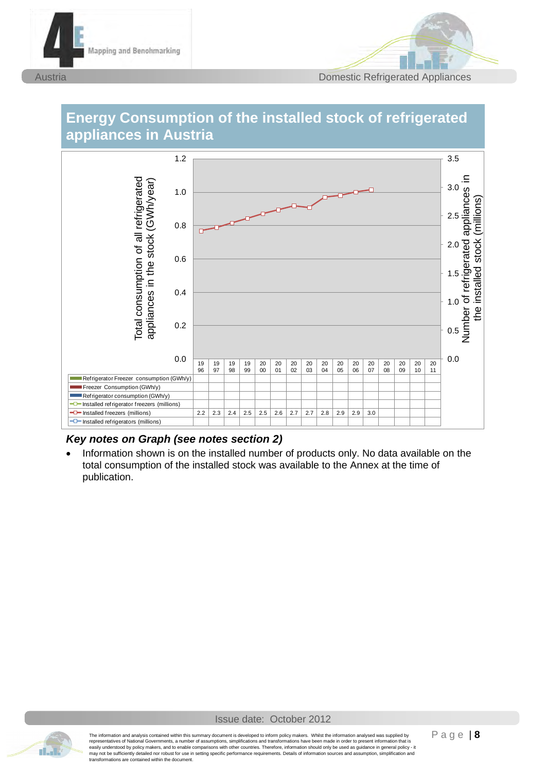



## **Energy Consumption of the installed stock of refrigerated appliances in Austria**



### *Key notes on Graph (see notes section 2)*

 Information shown is on the installed number of products only. No data available on the total consumption of the installed stock was available to the Annex at the time of publication.

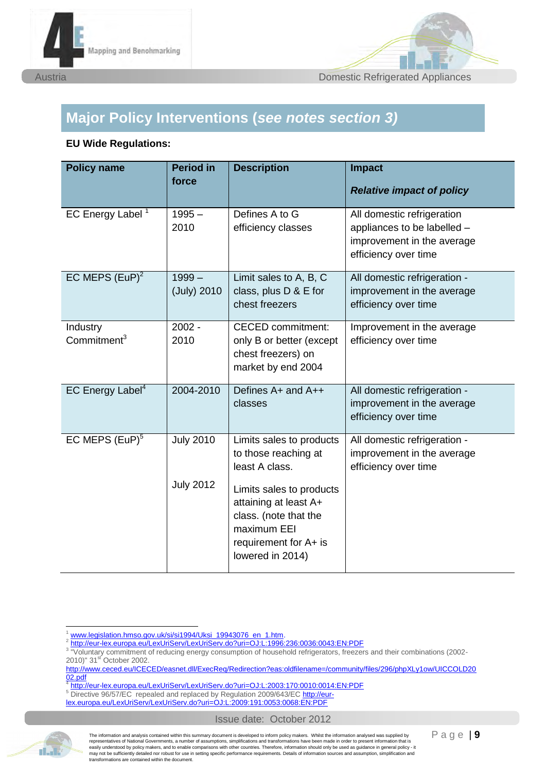



## **Major Policy Interventions (***see notes section 3)*

#### **EU Wide Regulations:**

| <b>Policy name</b>                  | <b>Period in</b><br>force            | <b>Description</b>                                                                                                                                                                                           | <b>Impact</b><br><b>Relative impact of policy</b>                                                               |
|-------------------------------------|--------------------------------------|--------------------------------------------------------------------------------------------------------------------------------------------------------------------------------------------------------------|-----------------------------------------------------------------------------------------------------------------|
| EC Energy Label <sup>1</sup>        | $1995 -$<br>2010                     | Defines A to G<br>efficiency classes                                                                                                                                                                         | All domestic refrigeration<br>appliances to be labelled -<br>improvement in the average<br>efficiency over time |
| EC MEPS $(EuP)^2$                   | $1999-$<br>(July) 2010               | Limit sales to A, B, C<br>class, plus D & E for<br>chest freezers                                                                                                                                            | All domestic refrigeration -<br>improvement in the average<br>efficiency over time                              |
| Industry<br>Commitment <sup>3</sup> | $2002 -$<br>2010                     | <b>CECED</b> commitment:<br>only B or better (except<br>chest freezers) on<br>market by end 2004                                                                                                             | Improvement in the average<br>efficiency over time                                                              |
| EC Energy Label <sup>4</sup>        | 2004-2010                            | Defines A+ and A++<br>classes                                                                                                                                                                                | All domestic refrigeration -<br>improvement in the average<br>efficiency over time                              |
| EC MEPS $(EuP)^5$                   | <b>July 2010</b><br><b>July 2012</b> | Limits sales to products<br>to those reaching at<br>least A class.<br>Limits sales to products<br>attaining at least A+<br>class. (note that the<br>maximum EEI<br>requirement for A+ is<br>lowered in 2014) | All domestic refrigeration -<br>improvement in the average<br>efficiency over time                              |

[lex.europa.eu/LexUriServ/LexUriServ.do?uri=OJ:L:2009:191:0053:0068:EN:PDF](http://eur-lex.europa.eu/LexUriServ/LexUriServ.do?uri=OJ:L:2009:191:0053:0068:EN:PDF) 





www.legislation.hmso.gov.uk/si/si1994/Uksi\_19943076\_en\_1.htm

<sup>2</sup> <http://eur-lex.europa.eu/LexUriServ/LexUriServ.do?uri=OJ:L:1996:236:0036:0043:EN:PDF>

<sup>&</sup>lt;sup>3</sup> "Voluntary commitment of reducing energy consumption of household refrigerators, freezers and their combinations (2002-2010)" 31<sup>st</sup> October 2002.

[http://www.ceced.eu/ICECED/easnet.dll/ExecReq/Redirection?eas:oldfilename=/community/files/296/phpXLy1ow/UICCOLD20](http://www.ceced.eu/ICECED/easnet.dll/ExecReq/Redirection?eas:oldfilename=/community/files/296/phpXLy1ow/UICCOLD2002.pdf)  $\frac{02.pdf}{4 \cdot \frac{1}{2} \cdot \frac{1}{2} \cdot \frac{1}{2}}$ 

<http://eur-lex.europa.eu/LexUriServ/LexUriServ.do?uri=OJ:L:2003:170:0010:0014:EN:PDF>

<sup>&</sup>lt;sup>5</sup> Directive 96/57/EC repealed and replaced by Regulation 2009/643/EC [http://eur-](http://eur-lex.europa.eu/LexUriServ/LexUriServ.do?uri=OJ:L:2009:191:0053:0068:EN:PDF)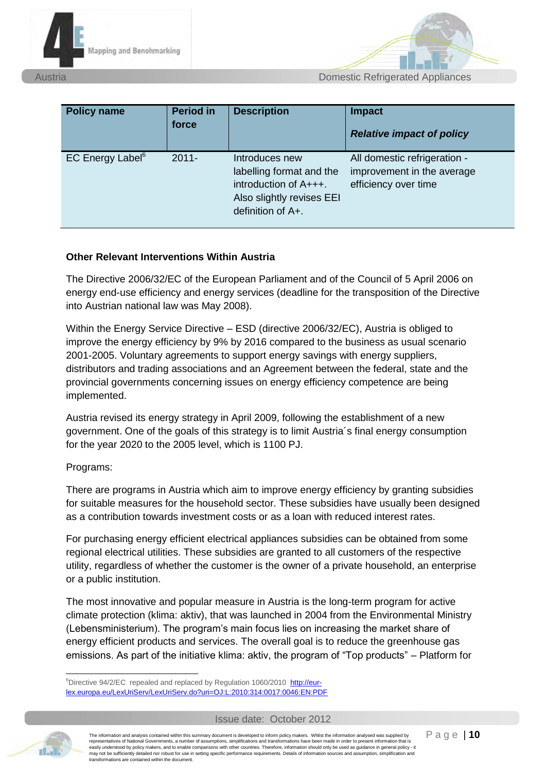



| <b>Policy name</b>                 | <b>Period in</b><br>force | <b>Description</b>                                                                                                         | <b>Impact</b><br><b>Relative impact of policy</b>                                  |
|------------------------------------|---------------------------|----------------------------------------------------------------------------------------------------------------------------|------------------------------------------------------------------------------------|
| <b>EC Energy Label<sup>6</sup></b> | $2011 -$                  | Introduces new<br>labelling format and the<br>introduction of $A++$ .<br>Also slightly revises EEI<br>definition of $A+$ . | All domestic refrigeration -<br>improvement in the average<br>efficiency over time |

#### **Other Relevant Interventions Within Austria**

The Directive 2006/32/EC of the European Parliament and of the Council of 5 April 2006 on energy end-use efficiency and energy services (deadline for the transposition of the Directive into Austrian national law was May 2008).

Within the Energy Service Directive – ESD (directive 2006/32/EC), Austria is obliged to improve the energy efficiency by 9% by 2016 compared to the business as usual scenario 2001-2005. Voluntary agreements to support energy savings with energy suppliers, distributors and trading associations and an Agreement between the federal, state and the provincial governments concerning issues on energy efficiency competence are being implemented.

Austria revised its energy strategy in April 2009, following the establishment of a new government. One of the goals of this strategy is to limit Austria´s final energy consumption for the year 2020 to the 2005 level, which is 1100 PJ.

#### Programs:

There are programs in Austria which aim to improve energy efficiency by granting subsidies for suitable measures for the household sector. These subsidies have usually been designed as a contribution towards investment costs or as a loan with reduced interest rates.

For purchasing energy efficient electrical appliances subsidies can be obtained from some regional electrical utilities. These subsidies are granted to all customers of the respective utility, regardless of whether the customer is the owner of a private household, an enterprise or a public institution.

The most innovative and popular measure in Austria is the long-term program for active climate protection (klima: aktiv), that was launched in 2004 from the Environmental Ministry (Lebensministerium). The program's main focus lies on increasing the market share of energy efficient products and services. The overall goal is to reduce the greenhouse gas emissions. As part of the initiative klima: aktiv, the program of "Top products" – Platform for



-

The information and analysis contained within this summary document is developed to inform policy makers. Whilst the information analysed was supplied by representatives of National Governments, a number of assumptions, simplifications and transformations have been made in order to present information that is easily understood by policy makers, and to enable comparisons with other countries. Therefore, information should only be used as guidance in general policy - it may not be sufficiently detailed nor robust for use in setting specific performance requirements. Details of information sources and assumption, simplification and transformations are contained within the document.

<sup>&</sup>lt;sup>6</sup>Directive 94/2/EC repealed and replaced by Regulation 1060/2010 http://eurlex.europa.eu/LexUriServ/LexUriServ.do?uri=OJ:L:2010:314:0017:0046:EN:PDF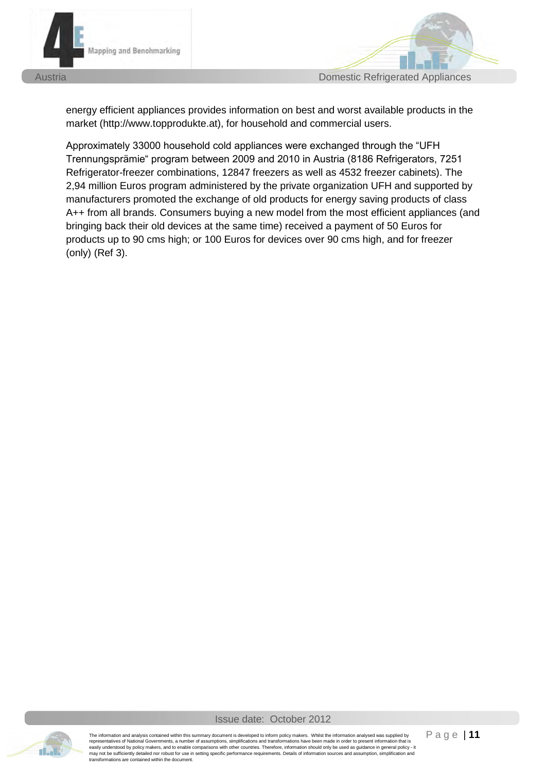

Austria Domestic Refrigerated Appliances

energy efficient appliances provides information on best and worst available products in the market (http://www.topprodukte.at), for household and commercial users.

Approximately 33000 household cold appliances were exchanged through the "UFH Trennungsprämie" program between 2009 and 2010 in Austria (8186 Refrigerators, 7251 Refrigerator-freezer combinations, 12847 freezers as well as 4532 freezer cabinets). The 2,94 million Euros program administered by the private organization UFH and supported by manufacturers promoted the exchange of old products for energy saving products of class A++ from all brands. Consumers buying a new model from the most efficient appliances (and bringing back their old devices at the same time) received a payment of 50 Euros for products up to 90 cms high; or 100 Euros for devices over 90 cms high, and for freezer (only) (Ref 3).



Issue date: October 2012

The information and analysis contained within this summary document is developed to inform policy makers. Whilst the information analysed was supplied by<br>representatives of National Governments, a number of assumptions, si easily understood by policy makers, and to enable comparisons with other countries. Therefore, information should only be used as guidance in general policy - it may not be sufficiently detailed nor robust for use in setting specific performance requirements. Details of information sources and assumption, simplification and transformations are contained within the document.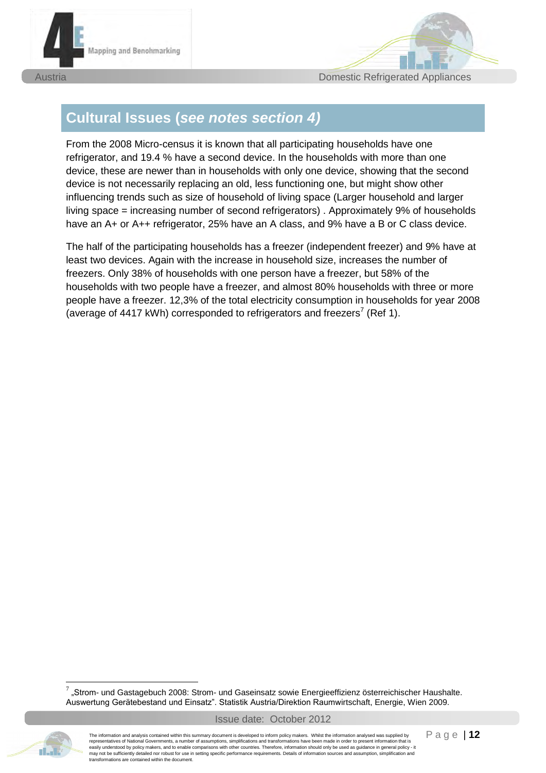



## **Cultural Issues (***see notes section 4)*

From the 2008 Micro-census it is known that all participating households have one refrigerator, and 19.4 % have a second device. In the households with more than one device, these are newer than in households with only one device, showing that the second device is not necessarily replacing an old, less functioning one, but might show other influencing trends such as size of household of living space (Larger household and larger living space = increasing number of second refrigerators) . Approximately 9% of households have an A+ or A++ refrigerator, 25% have an A class, and 9% have a B or C class device.

The half of the participating households has a freezer (independent freezer) and 9% have at least two devices. Again with the increase in household size, increases the number of freezers. Only 38% of households with one person have a freezer, but 58% of the households with two people have a freezer, and almost 80% households with three or more people have a freezer. 12,3% of the total electricity consumption in households for year 2008 (average of 4417 kWh) corresponded to refrigerators and freezers<sup>7</sup> (Ref 1).

 $^7$  "Strom- und Gastagebuch 2008: Strom- und Gaseinsatz sowie Energieeffizienz österreichischer Haushalte. Auswertung Gerätebestand und Einsatz". Statistik Austria/Direktion Raumwirtschaft, Energie, Wien 2009.



-

The information and analysis contained within this summary document is developed to inform policy makers. Whilst the information analysed was supplied by representatives of National Governments, a number of assumptions, simplifications and transformations have been made in order to present information that is easily understood by policy makers, and to enable comparisons with other countries. Therefore, information should only be used as guidance in general policy - it may not be sufficiently detailed nor robust for use in setting specific performance requirements. Details of information sources and assumption, simplification and transformations are contained within the document.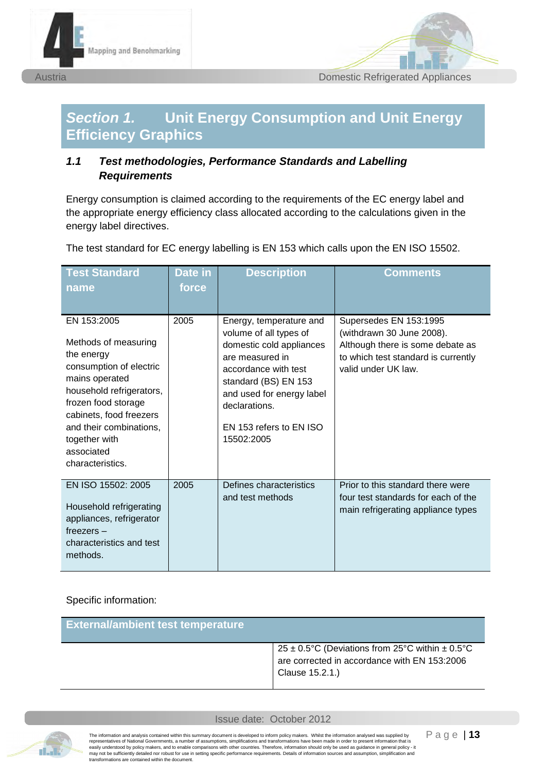



## *Section 1.* **Unit Energy Consumption and Unit Energy Efficiency Graphics**

## *1.1 Test methodologies, Performance Standards and Labelling Requirements*

Energy consumption is claimed according to the requirements of the EC energy label and the appropriate energy efficiency class allocated according to the calculations given in the energy label directives.

The test standard for EC energy labelling is EN 153 which calls upon the EN ISO 15502.

| <b>Test Standard</b><br>name                                                                                                                                                                                                                               | Date in<br>force | <b>Description</b>                                                                                                                                                                                                                      | Comments                                                                                                                                              |
|------------------------------------------------------------------------------------------------------------------------------------------------------------------------------------------------------------------------------------------------------------|------------------|-----------------------------------------------------------------------------------------------------------------------------------------------------------------------------------------------------------------------------------------|-------------------------------------------------------------------------------------------------------------------------------------------------------|
| EN 153:2005<br>Methods of measuring<br>the energy<br>consumption of electric<br>mains operated<br>household refrigerators,<br>frozen food storage<br>cabinets, food freezers<br>and their combinations,<br>together with<br>associated<br>characteristics. | 2005             | Energy, temperature and<br>volume of all types of<br>domestic cold appliances<br>are measured in<br>accordance with test<br>standard (BS) EN 153<br>and used for energy label<br>declarations.<br>EN 153 refers to EN ISO<br>15502:2005 | Supersedes EN 153:1995<br>(withdrawn 30 June 2008).<br>Although there is some debate as<br>to which test standard is currently<br>valid under UK law. |
| EN ISO 15502: 2005<br>Household refrigerating<br>appliances, refrigerator<br>$freezers -$<br>characteristics and test<br>methods.                                                                                                                          | 2005             | Defines characteristics<br>and test methods                                                                                                                                                                                             | Prior to this standard there were<br>four test standards for each of the<br>main refrigerating appliance types                                        |

Specific information:

| <b>External/ambient test temperature</b> |                                                                                                                        |
|------------------------------------------|------------------------------------------------------------------------------------------------------------------------|
|                                          | 25 ± 0.5°C (Deviations from 25°C within $\pm$ 0.5°C<br>are corrected in accordance with EN 153:2006<br>Clause 15.2.1.) |

Issue date: October 2012



The information and analysis contained within this summary document is developed to inform policy makers. Whilst the information analysed was supplied by<br>representatives of National Governments, a number of assumptions, si may not be sufficiently detailed nor robust for use in setting specific performance requirements. Details of information sources and assumption, simplification and transformations are contained within the document.

P a g e | **13**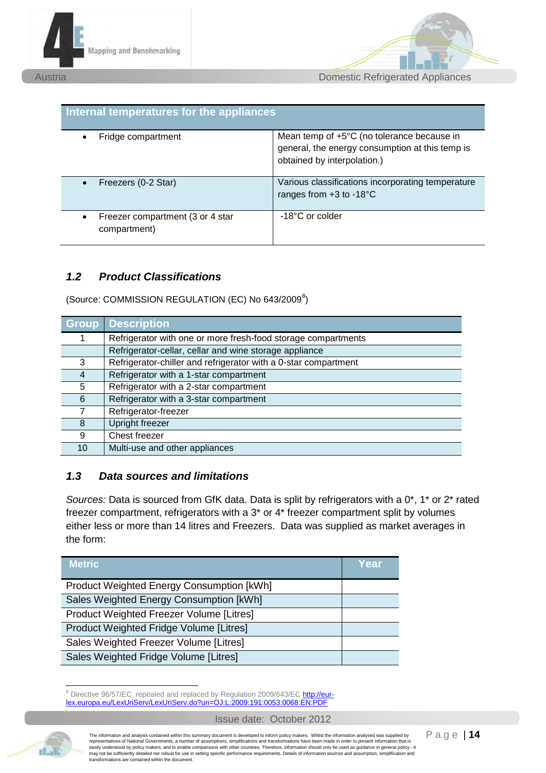



| <b>Internal temperatures for the appliances</b>  |                                                                                                                              |
|--------------------------------------------------|------------------------------------------------------------------------------------------------------------------------------|
| Fridge compartment                               | Mean temp of +5°C (no tolerance because in<br>general, the energy consumption at this temp is<br>obtained by interpolation.) |
| Freezers (0-2 Star)                              | Various classifications incorporating temperature<br>ranges from $+3$ to -18 $^{\circ}$ C                                    |
| Freezer compartment (3 or 4 star<br>compartment) | -18°C or colder                                                                                                              |

### *1.2 Product Classifications*

(Source: COMMISSION REGULATION (EC) No 643/2009<sup>8</sup>)

| <b>Group</b> | <b>Description</b>                                              |
|--------------|-----------------------------------------------------------------|
|              | Refrigerator with one or more fresh-food storage compartments   |
|              | Refrigerator-cellar, cellar and wine storage appliance          |
| 3            | Refrigerator-chiller and refrigerator with a 0-star compartment |
|              | Refrigerator with a 1-star compartment                          |
| 5            | Refrigerator with a 2-star compartment                          |
| 6            | Refrigerator with a 3-star compartment                          |
|              | Refrigerator-freezer                                            |
| 8            | Upright freezer                                                 |
| 9            | Chest freezer                                                   |
| 10           | Multi-use and other appliances                                  |

## *1.3 Data sources and limitations*

*Sources:* Data is sourced from GfK data. Data is split by refrigerators with a 0\*, 1\* or 2\* rated freezer compartment, refrigerators with a 3\* or 4\* freezer compartment split by volumes either less or more than 14 litres and Freezers. Data was supplied as market averages in the form:

| <b>Metric</b>                                    | Year |
|--------------------------------------------------|------|
| <b>Product Weighted Energy Consumption [kWh]</b> |      |
| Sales Weighted Energy Consumption [kWh]          |      |
| Product Weighted Freezer Volume [Litres]         |      |
| Product Weighted Fridge Volume [Litres]          |      |
| Sales Weighted Freezer Volume [Litres]           |      |
| Sales Weighted Fridge Volume [Litres]            |      |

<sup>&</sup>lt;u>.</u><br><sup>8</sup> Directive 96/57/EC repealed and replaced by Regulation 2009/643/EC [http://eur](http://eur-lex.europa.eu/LexUriServ/LexUriServ.do?uri=OJ:L:2009:191:0053:0068:EN:PDF)[lex.europa.eu/LexUriServ/LexUriServ.do?uri=OJ:L:2009:191:0053:0068:EN:PDF](http://eur-lex.europa.eu/LexUriServ/LexUriServ.do?uri=OJ:L:2009:191:0053:0068:EN:PDF) 



The information and analysis contained within this summary document is developed to inform policy makers. Whilst the information analysed was supplied by<br>representatives of National Governments, a number of assumptions, si may not be sufficiently detailed nor robust for use in setting specific performance requirements. Details of information sources and assumption, simplification and transformations are contained within the document.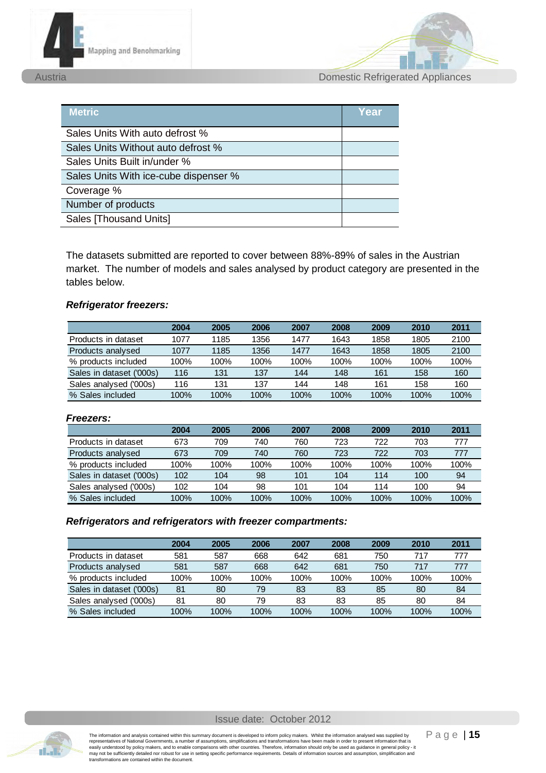



Austria Domestic Refrigerated Appliances

| <b>Metric</b>                         | Year |
|---------------------------------------|------|
| Sales Units With auto defrost %       |      |
| Sales Units Without auto defrost %    |      |
| Sales Units Built in/under %          |      |
| Sales Units With ice-cube dispenser % |      |
| Coverage %                            |      |
| Number of products                    |      |
| Sales [Thousand Units]                |      |

The datasets submitted are reported to cover between 88%-89% of sales in the Austrian market. The number of models and sales analysed by product category are presented in the tables below.

#### *Refrigerator freezers:*

|                          | 2004 | 2005 | 2006 | 2007 | 2008 | 2009 | 2010 | 2011 |
|--------------------------|------|------|------|------|------|------|------|------|
| Products in dataset      | 1077 | 1185 | 1356 | 1477 | 1643 | 1858 | 1805 | 2100 |
| Products analysed        | 1077 | 1185 | 1356 | 1477 | 1643 | 1858 | 1805 | 2100 |
| % products included      | 100% | 100% | 100% | 100% | 100% | 100% | 100% | 100% |
| Sales in dataset ('000s) | 116  | 131  | 137  | 144  | 148  | 161  | 158  | 160  |
| Sales analysed ('000s)   | 116  | 131  | 137  | 144  | 148  | 161  | 158  | 160  |
| % Sales included         | 100% | 100% | 100% | 100% | 100% | 100% | 100% | 100% |

#### *Freezers:*

|                          | 2004 | 2005 | 2006 | 2007 | 2008 | 2009 | 2010 | 2011 |
|--------------------------|------|------|------|------|------|------|------|------|
| Products in dataset      | 673  | 709  | 740  | 760  | 723  | 722  | 703  | 777  |
| Products analysed        | 673  | 709  | 740  | 760  | 723  | 722  | 703  | 777  |
| % products included      | 100% | 100% | 100% | 100% | 100% | 100% | 100% | 100% |
| Sales in dataset ('000s) | 102  | 104  | 98   | 101  | 104  | 114  | 100  | 94   |
| Sales analysed ('000s)   | 102  | 104  | 98   | 101  | 104  | 114  | 100  | 94   |
| % Sales included         | 100% | 100% | 100% | 100% | 100% | 100% | 100% | 100% |

#### *Refrigerators and refrigerators with freezer compartments:*

|                          | 2004 | 2005 | 2006 | 2007 | 2008 | 2009 | 2010 | 2011 |
|--------------------------|------|------|------|------|------|------|------|------|
| Products in dataset      | 581  | 587  | 668  | 642  | 681  | 750  | 717  | 777  |
| Products analysed        | 581  | 587  | 668  | 642  | 681  | 750  | 717  | 777  |
| % products included      | 100% | 100% | 100% | 100% | 100% | 100% | 100% | 100% |
| Sales in dataset ('000s) | 81   | 80   | 79   | 83   | 83   | 85   | 80   | 84   |
| Sales analysed ('000s)   | 81   | 80   | 79   | 83   | 83   | 85   | 80   | 84   |
| % Sales included         | 100% | 100% | 100% | 100% | 100% | 100% | 100% | 100% |

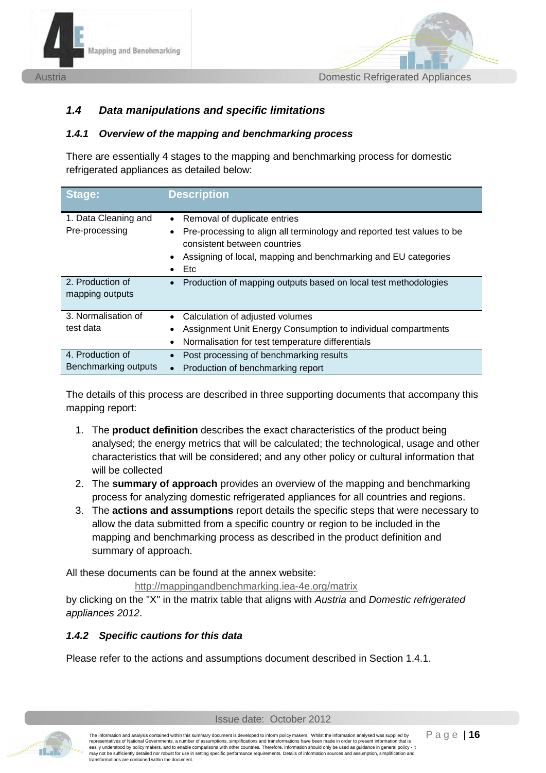



## *1.4 Data manipulations and specific limitations*

#### <span id="page-15-0"></span>*1.4.1 Overview of the mapping and benchmarking process*

There are essentially 4 stages to the mapping and benchmarking process for domestic refrigerated appliances as detailed below:

| Stage:                                   | <b>Description</b>                                                                                                                                                                                                                                          |
|------------------------------------------|-------------------------------------------------------------------------------------------------------------------------------------------------------------------------------------------------------------------------------------------------------------|
| 1. Data Cleaning and<br>Pre-processing   | Removal of duplicate entries<br>$\bullet$<br>Pre-processing to align all terminology and reported test values to be<br>$\bullet$<br>consistent between countries<br>Assigning of local, mapping and benchmarking and EU categories<br>٠<br>Etc<br>$\bullet$ |
| 2. Production of<br>mapping outputs      | Production of mapping outputs based on local test methodologies<br>$\bullet$                                                                                                                                                                                |
| 3. Normalisation of<br>test data         | Calculation of adjusted volumes<br>$\bullet$<br>Assignment Unit Energy Consumption to individual compartments<br>٠<br>Normalisation for test temperature differentials<br>$\bullet$                                                                         |
| 4. Production of<br>Benchmarking outputs | Post processing of benchmarking results<br>$\bullet$<br>Production of benchmarking report                                                                                                                                                                   |

The details of this process are described in three supporting documents that accompany this mapping report:

- 1. The **product definition** describes the exact characteristics of the product being analysed; the energy metrics that will be calculated; the technological, usage and other characteristics that will be considered; and any other policy or cultural information that will be collected
- 2. The **summary of approach** provides an overview of the mapping and benchmarking process for analyzing domestic refrigerated appliances for all countries and regions.
- 3. The **actions and assumptions** report details the specific steps that were necessary to allow the data submitted from a specific country or region to be included in the mapping and benchmarking process as described in the product definition and summary of approach.

All these documents can be found at the annex website:

<http://mappingandbenchmarking.iea-4e.org/matrix>

by clicking on the "X" in the matrix table that aligns with *Austria* and *Domestic refrigerated appliances 2012*.

### *1.4.2 Specific cautions for this data*

Please refer to the actions and assumptions document described in Section [1.4.1.](#page-15-0)



The information and analysis contained within this summary document is developed to inform policy makers. Whilst the information analysed was supplied by<br>representatives of National Governments, a number of assumptions, si representatives of national suverthriestics, a national comparisons with other countries. Therefore, information share been interested as guidance in general policy - it results are used as guidance in general policy - it may not be sufficiently detailed nor robust for use in setting specific performance requirements. Details of information sources and assumption, simplification and transformations are contained within the document.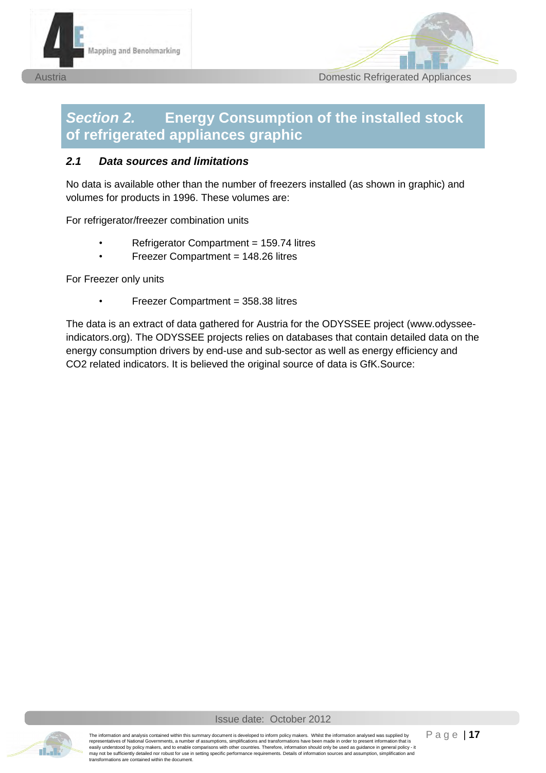



## *Section 2.* **Energy Consumption of the installed stock of refrigerated appliances graphic**

#### *2.1 Data sources and limitations*

No data is available other than the number of freezers installed (as shown in graphic) and volumes for products in 1996. These volumes are:

For refrigerator/freezer combination units

- Refrigerator Compartment = 159.74 litres
- Freezer Compartment = 148.26 litres

For Freezer only units

• Freezer Compartment = 358.38 litres

The data is an extract of data gathered for Austria for the ODYSSEE project (www.odysseeindicators.org). The ODYSSEE projects relies on databases that contain detailed data on the energy consumption drivers by end-use and sub-sector as well as energy efficiency and CO2 related indicators. It is believed the original source of data is GfK.Source:

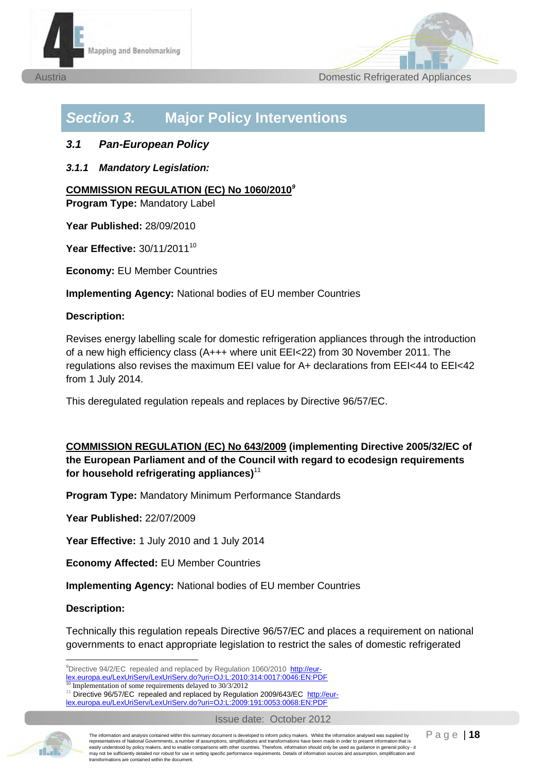



## *Section 3.* **Major Policy Interventions**

### *3.1 Pan-European Policy*

*3.1.1 Mandatory Legislation:* 

### **COMMISSION REGULATION (EC) No 1060/2010** *9*

**Program Type:** Mandatory Label

**Year Published:** 28/09/2010

**Year Effective: 30/11/2011<sup>10</sup>** 

**Economy:** EU Member Countries

**Implementing Agency:** National bodies of EU member Countries

#### **Description:**

Revises energy labelling scale for domestic refrigeration appliances through the introduction of a new high efficiency class (A+++ where unit EEI<22) from 30 November 2011. The regulations also revises the maximum EEI value for A+ declarations from EEI<44 to EEI<42 from 1 July 2014.

This deregulated regulation repeals and replaces by Directive 96/57/EC.

### **COMMISSION REGULATION (EC) No 643/2009 (implementing Directive 2005/32/EC of the European Parliament and of the Council with regard to ecodesign requirements for household refrigerating appliances)**<sup>11</sup>

**Program Type:** Mandatory Minimum Performance Standards

**Year Published:** 22/07/2009

**Year Effective:** 1 July 2010 and 1 July 2014

**Economy Affected:** EU Member Countries

**Implementing Agency:** National bodies of EU member Countries

#### **Description:**

-

Technically this regulation repeals Directive 96/57/EC and places a requirement on national governments to enact appropriate legislation to restrict the sales of domestic refrigerated

lex.europa.eu/LexUriServ/LexUriServ.do?uri=OJ:L:2010:314:0017:0046:EN:PDF



The information and analysis contained within this summary document is developed to inform policy makers. Whilst the information analysed was supplied by representatives of National Governments, a number of assumptions, simplifications and transformations have been made in order to present information that is easily understood by policy makers, and to enable comparisons with other countries. Therefore, information should only be used as guidance in general policy - it may not be sufficiently detailed nor robust for use in setting specific performance requirements. Details of information sources and assumption, simplification and transformations are contained within the document.

<sup>&</sup>lt;sup>9</sup>Directive 94/2/EC repealed and replaced by Regulation 1060/2010 http://eur-

Implementation of some requirements delayed to 30/3/2012

<sup>&</sup>lt;sup>11</sup> Directive 96/57/EC repealed and replaced by Regulation 2009/643/EC [http://eur-](http://eur-lex.europa.eu/LexUriServ/LexUriServ.do?uri=OJ:L:2009:191:0053:0068:EN:PDF)

[lex.europa.eu/LexUriServ/LexUriServ.do?uri=OJ:L:2009:191:0053:0068:EN:PDF](http://eur-lex.europa.eu/LexUriServ/LexUriServ.do?uri=OJ:L:2009:191:0053:0068:EN:PDF)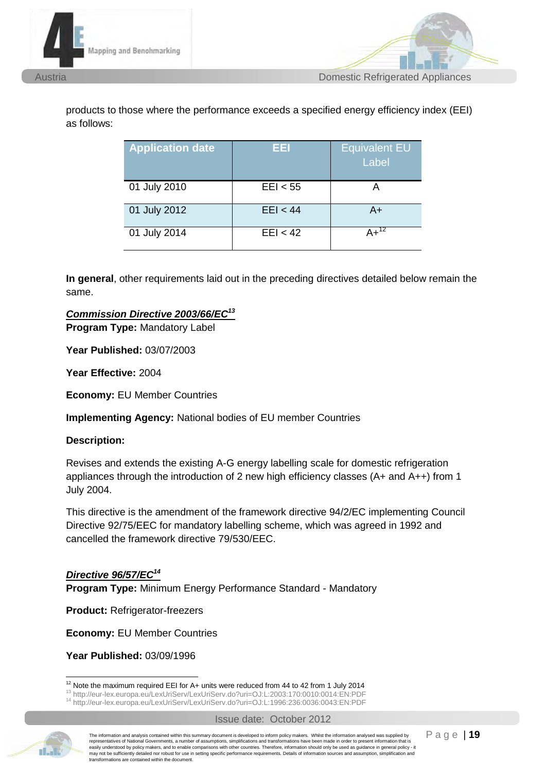



products to those where the performance exceeds a specified energy efficiency index (EEI) as follows:

| <b>Application date</b> | EEI      | <b>Equivalent EU</b><br>Label |
|-------------------------|----------|-------------------------------|
| 01 July 2010            | EEl < 55 |                               |
| 01 July 2012            | EEl < 44 | $A+$                          |
| 01 July 2014            | EEl < 42 | $4 + 12$                      |

**In general**, other requirements laid out in the preceding directives detailed below remain the same.

### *Commission Directive 2003/66/EC<sup>13</sup>*

**Program Type:** Mandatory Label

**Year Published:** 03/07/2003

**Year Effective:** 2004

**Economy:** EU Member Countries

**Implementing Agency:** National bodies of EU member Countries

#### **Description:**

Revises and extends the existing A-G energy labelling scale for domestic refrigeration appliances through the introduction of 2 new high efficiency classes (A+ and A++) from 1 July 2004.

This directive is the amendment of the framework directive 94/2/EC implementing Council Directive 92/75/EEC for mandatory labelling scheme, which was agreed in 1992 and cancelled the framework directive 79/530/EEC.

### *Directive 96/57/EC<sup>14</sup>*

**Program Type:** Minimum Energy Performance Standard - Mandatory

**Product: Refrigerator-freezers** 

**Economy:** EU Member Countries

**Year Published:** 03/09/1996



The information and analysis contained within this summary document is developed to inform policy makers. Whilst the information analysed was supplied by representatives of National Governments, a number of assumptions, simplifications and transformations have been made in order to present information that is easily understood by policy makers, and to enable comparisons with other countries. Therefore, information should only be used as guidance in general policy - it may not be sufficiently detailed nor robust for use in setting specific performance requirements. Details of information sources and assumption, simplification and transformations are contained within the document.

<sup>-</sup> $12$  Note the maximum required EEI for A+ units were reduced from 44 to 42 from 1 July 2014

<sup>13</sup> http://eur-lex.europa.eu/LexUriServ/LexUriServ.do?uri=OJ:L:2003:170:0010:0014:EN:PDF

<sup>14</sup> http://eur-lex.europa.eu/LexUriServ/LexUriServ.do?uri=OJ:L:1996:236:0036:0043:EN:PDF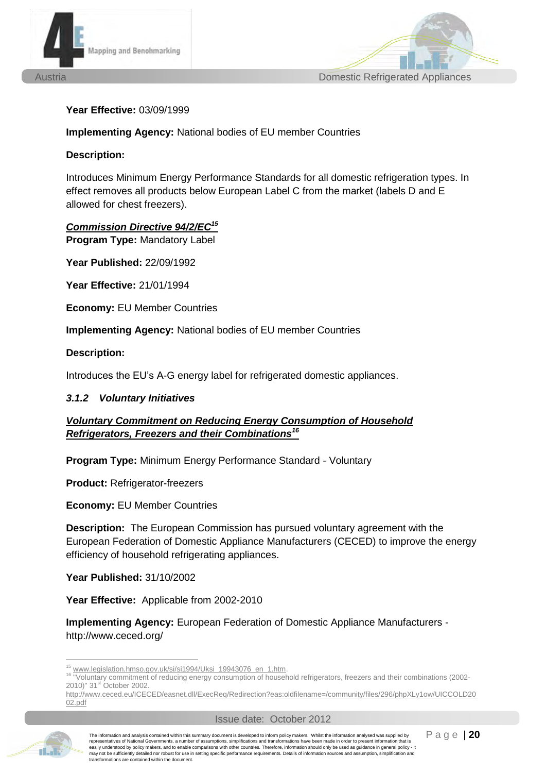



#### **Year Effective:** 03/09/1999

**Implementing Agency:** National bodies of EU member Countries

#### **Description:**

Introduces Minimum Energy Performance Standards for all domestic refrigeration types. In effect removes all products below European Label C from the market (labels D and E allowed for chest freezers).

*Commission Directive 94/2/EC<sup>15</sup>*  **Program Type:** Mandatory Label

**Year Published:** 22/09/1992

**Year Effective:** 21/01/1994

**Economy:** EU Member Countries

**Implementing Agency:** National bodies of EU member Countries

#### **Description:**

Introduces the EU's A-G energy label for refrigerated domestic appliances.

#### *3.1.2 Voluntary Initiatives*

### *Voluntary Commitment on Reducing Energy Consumption of Household Refrigerators, Freezers and their Combinations 16*

**Program Type:** Minimum Energy Performance Standard - Voluntary

**Product:** Refrigerator-freezers

**Economy:** EU Member Countries

**Description:** The European Commission has pursued voluntary agreement with the European Federation of Domestic Appliance Manufacturers (CECED) to improve the energy efficiency of household refrigerating appliances.

**Year Published:** 31/10/2002

**Year Effective:** Applicable from 2002-2010

**Implementing Agency:** European Federation of Domestic Appliance Manufacturers http://www.ceced.org/

-

<sup>&</sup>lt;sup>15</sup> [www.legislation.hmso.gov.uk/si/si1994/Uksi\\_19943076\\_en\\_1.htm.](http://www.legislation.hmso.gov.uk/si/si1994/Uksi_19943076_en_1.htm)

<sup>&</sup>lt;sup>16</sup> "Voluntary commitment of reducing energy consumption of household refrigerators, freezers and their combinations (2002-2010)" 31<sup>st</sup> October 2002.

[http://www.ceced.eu/ICECED/easnet.dll/ExecReq/Redirection?eas:oldfilename=/community/files/296/phpXLy1ow/UICCOLD20](http://www.ceced.eu/ICECED/easnet.dll/ExecReq/Redirection?eas:oldfilename=/community/files/296/phpXLy1ow/UICCOLD2002.pdf) [02.pdf](http://www.ceced.eu/ICECED/easnet.dll/ExecReq/Redirection?eas:oldfilename=/community/files/296/phpXLy1ow/UICCOLD2002.pdf)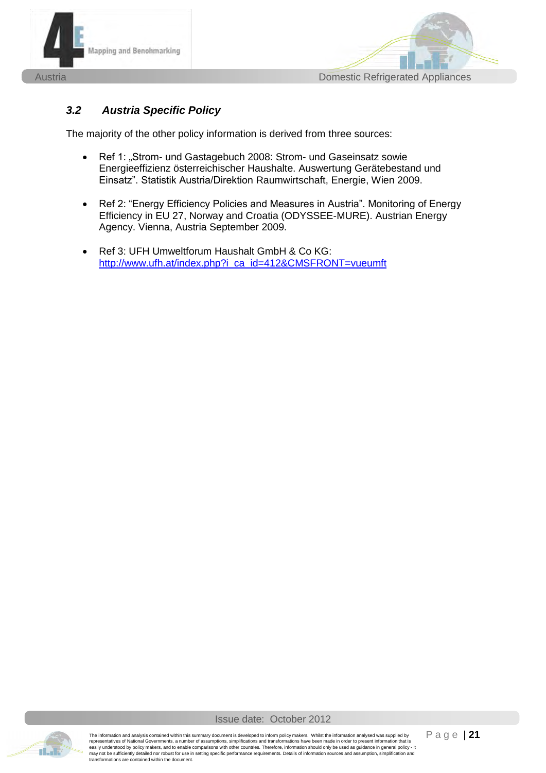



## *3.2 Austria Specific Policy*

The majority of the other policy information is derived from three sources:

- Ref 1: "Strom- und Gastagebuch 2008: Strom- und Gaseinsatz sowie Energieeffizienz österreichischer Haushalte. Auswertung Gerätebestand und Einsatz". Statistik Austria/Direktion Raumwirtschaft, Energie, Wien 2009.
- Ref 2: "Energy Efficiency Policies and Measures in Austria". Monitoring of Energy Efficiency in EU 27, Norway and Croatia (ODYSSEE-MURE). Austrian Energy Agency. Vienna, Austria September 2009.
- Ref 3: UFH Umweltforum Haushalt GmbH & Co KG: [http://www.ufh.at/index.php?i\\_ca\\_id=412&CMSFRONT=vueumft](http://www.ufh.at/index.php?i_ca_id=412&CMSFRONT=vueumft)